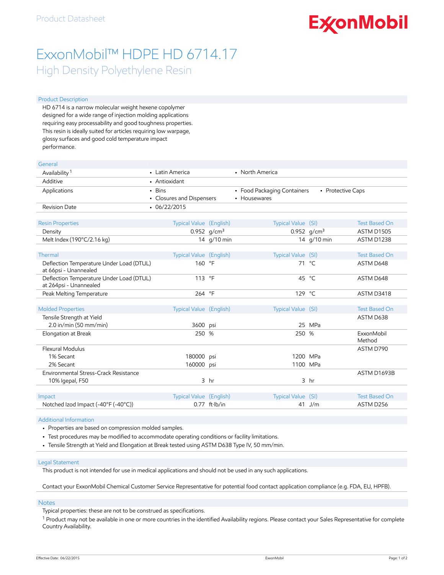# **ExconMobil**

## ExxonMobil™ HDPE HD 6714.17 High Density Polyethylene Resin

#### Product Description

HD 6714 is a narrow molecular weight hexene copolymer designed for a wide range of injection molding applications requiring easy processability and good toughness properties. This resin is ideally suited for articles requiring low warpage, glossy surfaces and good cold temperature impact performance.

| General                                                            |                                     |                         |                                             |                   |                      |
|--------------------------------------------------------------------|-------------------------------------|-------------------------|---------------------------------------------|-------------------|----------------------|
| Availability <sup>1</sup>                                          | • Latin America                     |                         | • North America                             |                   |                      |
| Additive                                                           | • Antioxidant                       |                         |                                             |                   |                      |
| Applications                                                       | - Bins<br>• Closures and Dispensers |                         | • Food Packaging Containers<br>• Housewares | • Protective Caps |                      |
| <b>Revision Date</b>                                               | $-06/22/2015$                       |                         |                                             |                   |                      |
| <b>Resin Properties</b>                                            | Typical Value (English)             |                         | Typical Value (SI)                          |                   | <b>Test Based On</b> |
| Density                                                            |                                     | 0.952 $q/cm^3$          |                                             | 0.952 $g/cm^3$    | ASTM D1505           |
| Melt Index (190°C/2.16 kg)                                         |                                     | 14 g/10 min             |                                             | 14 g/10 min       | ASTM D1238           |
| Thermal                                                            | Typical Value (English)             |                         | Typical Value (SI)                          |                   | <b>Test Based On</b> |
| Deflection Temperature Under Load (DTUL)<br>at 66psi - Unannealed  | 160 °F                              |                         |                                             | 71 °C             | ASTM D648            |
| Deflection Temperature Under Load (DTUL)<br>at 264psi - Unannealed | 113 °F                              |                         |                                             | 45 $^{\circ}$ C   | ASTM D648            |
| Peak Melting Temperature                                           | 264 °F                              |                         | 129 $^{\circ}$ C                            |                   | ASTM D3418           |
|                                                                    |                                     |                         |                                             |                   |                      |
| <b>Molded Properties</b>                                           | Typical Value (English)             |                         | Typical Value (SI)                          |                   | <b>Test Based On</b> |
| Tensile Strength at Yield<br>$2.0$ in/min (50 mm/min)              |                                     |                         |                                             | 25 MPa            | ASTM D638            |
| Elongation at Break                                                | 3600 psi<br>250 %                   |                         | 250 %                                       |                   | ExxonMobil<br>Method |
| Flexural Modulus                                                   |                                     |                         |                                             |                   | ASTM D790            |
| 1% Secant                                                          | 180000 psi                          |                         | 1200 MPa                                    |                   |                      |
| 2% Secant                                                          | 160000 psi                          |                         | 1100 MPa                                    |                   |                      |
| Environmental Stress-Crack Resistance                              |                                     |                         |                                             |                   | ASTM D1693B          |
| 10% Igepal, F50                                                    |                                     | 3 <sub>hr</sub>         |                                             | 3 <sub>hr</sub>   |                      |
| Impact                                                             | Typical Value (English)             |                         | Typical Value (SI)                          |                   | <b>Test Based On</b> |
| Notched Izod Impact (-40°F (-40°C))                                |                                     | $0.77$ ft $\cdot$ lb/in |                                             | 41 J/m            | ASTM D256            |
|                                                                    |                                     |                         |                                             |                   |                      |

#### Additional Information

- Properties are based on compression molded samples.
- Test procedures may be modified to accommodate operating conditions or facility limitations.
- Tensile Strength at Yield and Elongation at Break tested using ASTM D638 Type IV, 50 mm/min.

#### Legal Statement

This product is not intended for use in medical applications and should not be used in any such applications.

Contact your ExxonMobil Chemical Customer Service Representative for potential food contact application compliance (e.g. FDA, EU, HPFB).

#### Notes

Typical properties: these are not to be construed as specifications.

<sup>1</sup> Product may not be available in one or more countries in the identified Availability regions. Please contact your Sales Representative for complete Country Availability.